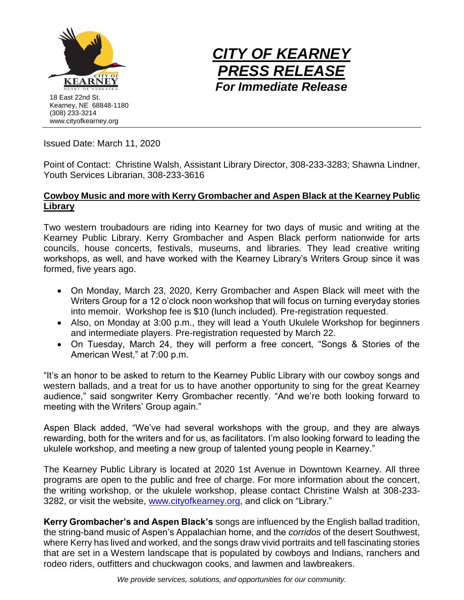



Issued Date: March 11, 2020

Point of Contact: Christine Walsh, Assistant Library Director, 308-233-3283; Shawna Lindner, Youth Services Librarian, 308-233-3616

## **Cowboy Music and more with Kerry Grombacher and Aspen Black at the Kearney Public Library**

Two western troubadours are riding into Kearney for two days of music and writing at the Kearney Public Library. Kerry Grombacher and Aspen Black perform nationwide for arts councils, house concerts, festivals, museums, and libraries. They lead creative writing workshops, as well, and have worked with the Kearney Library's Writers Group since it was formed, five years ago.

- On Monday, March 23, 2020, Kerry Grombacher and Aspen Black will meet with the Writers Group for a 12 o'clock noon workshop that will focus on turning everyday stories into memoir. Workshop fee is \$10 (lunch included). Pre-registration requested.
- Also, on Monday at 3:00 p.m., they will lead a Youth Ukulele Workshop for beginners and intermediate players. Pre-registration requested by March 22.
- On Tuesday, March 24, they will perform a free concert, "Songs & Stories of the American West," at 7:00 p.m.

"It's an honor to be asked to return to the Kearney Public Library with our cowboy songs and western ballads, and a treat for us to have another opportunity to sing for the great Kearney audience," said songwriter Kerry Grombacher recently. "And we're both looking forward to meeting with the Writers' Group again."

Aspen Black added, "We've had several workshops with the group, and they are always rewarding, both for the writers and for us, as facilitators. I'm also looking forward to leading the ukulele workshop, and meeting a new group of talented young people in Kearney."

The Kearney Public Library is located at 2020 1st Avenue in Downtown Kearney. All three programs are open to the public and free of charge. For more information about the concert, the writing workshop, or the ukulele workshop, please contact Christine Walsh at 308-233 3282, or visit the website, [www.cityofkearney.org,](http://www.cityofkearney.org/) and click on "Library."

**Kerry Grombacher's and Aspen Black's** songs are influenced by the English ballad tradition, the string-band music of Aspen's Appalachian home, and the *corridos* of the desert Southwest, where Kerry has lived and worked, and the songs draw vivid portraits and tell fascinating stories that are set in a Western landscape that is populated by cowboys and Indians, ranchers and rodeo riders, outfitters and chuckwagon cooks, and lawmen and lawbreakers.